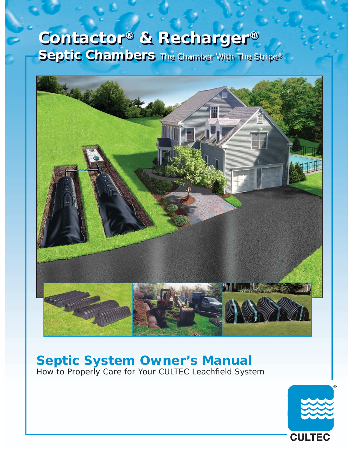# **Contactor® & Recharger® Septic Chambers** The Chamber With The Stripe®



## **Septic System Owner's Manual**

How to Properly Care for Your CULTEC Leachfield System

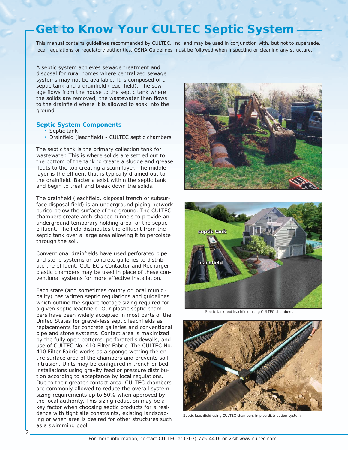## **Get to Know Your CULTEC Septic System**

*This manual contains guidelines recommended by CULTEC, Inc. and may be used in conjunction with, but not to supersede, local regulations or regulatory authorities. OSHA Guidelines must be followed when inspecting or cleaning any structure.*

A septic system achieves sewage treatment and disposal for rural homes where centralized sewage systems may not be available. It is composed of a septic tank and a drainfield (leachfield). The sewage flows from the house to the septic tank where the solids are removed; the wastewater then flows to the drainfield where it is allowed to soak into the ground.

#### **Septic System Components**

- Septic tank
- Drainfield (leachfield) CULTEC septic chambers

The septic tank is the primary collection tank for wastewater. This is where solids are settled out to the bottom of the tank to create a sludge and grease floats to the top creating a scum layer. The middle layer is the effluent that is typically drained out to the drainfield. Bacteria exist within the septic tank and begin to treat and break down the solids.

The drainfield (leachfield, disposal trench or subsurface disposal field) is an underground piping network buried below the surface of the ground. The CULTEC chambers create arch-shaped tunnels to provide an underground temporary holding area for the septic effluent. The field distributes the effluent from the septic tank over a large area allowing it to percolate through the soil.

Conventional drainfields have used perforated pipe and stone systems or concrete galleries to distribute the effluent. CULTEC's Contactor and Recharger plastic chambers may be used in place of these conventional systems for more effective installation.

Each state (and sometimes county or local municipality) has written septic regulations and guidelines which outline the square footage sizing required for a given septic leachfield. Our plastic septic chambers have been widely accepted in most parts of the United States for gravel-less septic leachfields as replacements for concrete galleries and conventional pipe and stone systems. Contact area is maximized by the fully open bottoms, perforated sidewalls, and use of CULTEC No. 410 Filter Fabric. The CULTEC No. 410 Filter Fabric works as a sponge wetting the entire surface area of the chambers and prevents soil intrusion. Units may be configured in trench or bed installations using gravity feed or pressure distribution according to acceptance by local regulations. Due to their greater contact area, CULTEC chambers are commonly allowed to reduce the overall system sizing requirements up to 50% when approved by the local authority. This sizing reduction may be a key factor when choosing septic products for a residence with tight site constraints, existing landscaping or when area is desired for other structures such as a swimming pool.

2





Septic tank and leachfield using CULTEC chambers.



Septic leachfield using CULTEC chambers in pipe distribution system.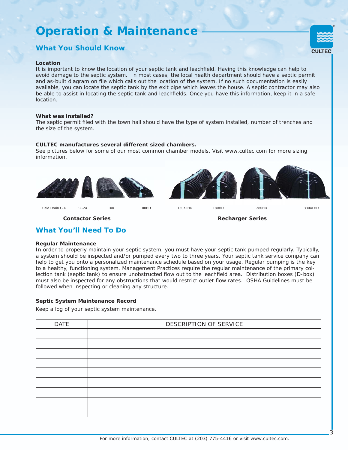### **Operation & Maintenance**

### **What You Should Know**

#### **Location**

It is important to know the location of your septic tank and leachfield. Having this knowledge can help to avoid damage to the septic system. In most cases, the local health department should have a septic permit and as-built diagram on file which calls out the location of the system. If no such documentation is easily available, you can locate the septic tank by the exit pipe which leaves the house. A septic contractor may also be able to assist in locating the septic tank and leachfields. Once you have this information, keep it in a safe location.

#### **What was installed?**

The septic permit filed with the town hall should have the type of system installed, number of trenches and the size of the system.

#### **CULTEC manufactures several different sized chambers.**

See pictures below for some of our most common chamber models. Visit www.cultec.com for more sizing information.



3

CULTE<sub>C</sub>

#### **What You'll Need To Do**

#### **Regular Maintenance**

In order to properly maintain your septic system, you must have your septic tank pumped regularly. Typically, a system should be inspected and/or pumped every two to three years. Your septic tank service company can help to get you onto a personalized maintenance schedule based on your usage. Regular pumping is the key to a healthy, functioning system. Management Practices require the regular maintenance of the primary collection tank (septic tank) to ensure unobstructed flow out to the leachfield area. Distribution boxes (D-box) must also be inspected for any obstructions that would restrict outlet flow rates. OSHA Guidelines must be followed when inspecting or cleaning any structure.

#### **Septic System Maintenance Record**

Keep a log of your septic system maintenance.

| <b>DATE</b> | DESCRIPTION OF SERVICE |
|-------------|------------------------|
|             |                        |
|             |                        |
|             |                        |
|             |                        |
|             |                        |
|             |                        |
|             |                        |
|             |                        |
|             |                        |